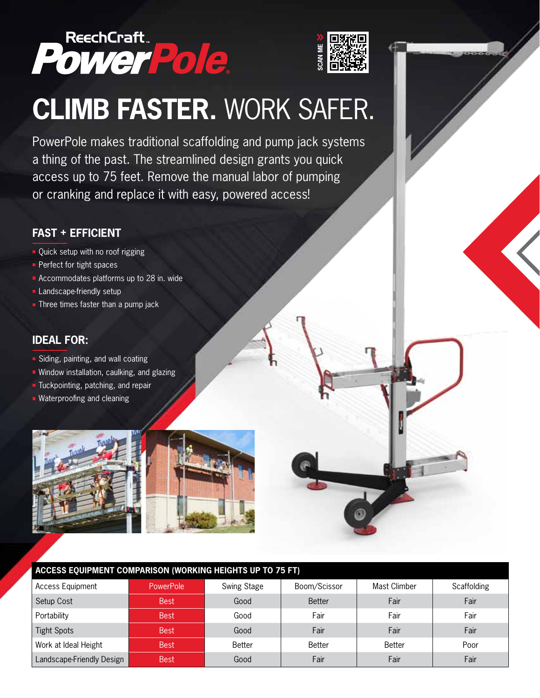

# **climb faster.** work safer.

#### **fast + efficient**

- Quick setup with no roof rigging
- **Perfect for tight spaces**
- Accommodates platforms up to 28 in. wide
- **Landscape-friendly setup**
- $\blacksquare$  Three times faster than a pump jack

#### **ideal for:**

- Siding, painting, and wall coating
- $\blacksquare$  Window installation, caulking, and glazing
- $\blacksquare$  Tuckpointing, patching, and repair
- **Waterproofing and cleaning**



| PowerPole.                                                                                                                                                                                                                                         |             |             |               |              |             |
|----------------------------------------------------------------------------------------------------------------------------------------------------------------------------------------------------------------------------------------------------|-------------|-------------|---------------|--------------|-------------|
|                                                                                                                                                                                                                                                    |             |             |               |              |             |
| <b>CLIMB FASTER. WORK SAFER.</b>                                                                                                                                                                                                                   |             |             |               |              |             |
| PowerPole makes traditional scaffolding and pump jack systems<br>a thing of the past. The streamlined design grants you quick<br>access up to 75 feet. Remove the manual labor of pumping<br>or cranking and replace it with easy, powered access! |             |             |               |              |             |
|                                                                                                                                                                                                                                                    |             |             |               |              |             |
| <b>FAST + EFFICIENT</b>                                                                                                                                                                                                                            |             |             |               |              |             |
| • Quick setup with no roof rigging<br>$\blacksquare$ Perfect for tight spaces<br>Accommodates platforms up to 28 in. wide<br>Landscape-friendly setup<br>$\blacksquare$ Three times faster than a pump jack                                        |             |             |               |              |             |
| <b>IDEAL FOR:</b><br>• Siding, painting, and wall coating<br>• Window installation, caulking, and glazing<br>Tuckpointing, patching, and repair<br>• Waterproofing and cleaning                                                                    |             |             |               |              |             |
|                                                                                                                                                                                                                                                    |             |             |               |              |             |
| ACCESS EQUIPMENT COMPARISON (WORKING HEIGHTS UP TO 75 FT)                                                                                                                                                                                          |             |             |               |              |             |
| <b>Access Equipment</b>                                                                                                                                                                                                                            | PowerPole   | Swing Stage | Boom/Scissor  | Mast Climber | Scaffolding |
| Setup Cost                                                                                                                                                                                                                                         | <b>Best</b> | Good        | <b>Better</b> | Fair         | Fair        |
| Portability                                                                                                                                                                                                                                        | <b>Best</b> | Good        | Fair          | Fair         | Fair        |
| <b>Tight Spots</b>                                                                                                                                                                                                                                 | <b>Best</b> | Good        | Fair          | Fair         | Fair        |
| Work at Ideal Height                                                                                                                                                                                                                               | <b>Best</b> | Better      | Better        | Better       | Poor        |
| Landscape-Friendly Design                                                                                                                                                                                                                          | <b>Best</b> | Good        | Fair          | Fair         | Fair        |